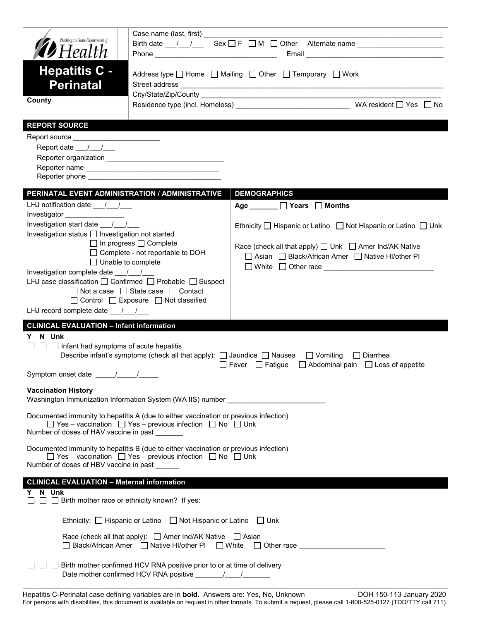| Washington State Department of                                                                                                                                                                                                 | Case name (last, first) _____ |                                                                                                     |  |
|--------------------------------------------------------------------------------------------------------------------------------------------------------------------------------------------------------------------------------|-------------------------------|-----------------------------------------------------------------------------------------------------|--|
| <b>19</b> Health                                                                                                                                                                                                               |                               | Birth date __/__/_______Sex ____F ____ M ____ Other __Alternate name ______________________________ |  |
| <b>Hepatitis C -</b><br><b>Perinatal</b><br>County                                                                                                                                                                             |                               | Address type   Home   Mailing   Other   Temporary   Work                                            |  |
| <b>REPORT SOURCE</b>                                                                                                                                                                                                           |                               |                                                                                                     |  |
| Report source _________________________                                                                                                                                                                                        |                               |                                                                                                     |  |
| Report date $\frac{1}{\sqrt{2}}$                                                                                                                                                                                               |                               |                                                                                                     |  |
|                                                                                                                                                                                                                                |                               |                                                                                                     |  |
| Reporter phone enteries and the set of the set of the set of the set of the set of the set of the set of the set of the set of the set of the set of the set of the set of the set of the set of the set of the set of the set |                               |                                                                                                     |  |
| PERINATAL EVENT ADMINISTRATION / ADMINISTRATIVE                                                                                                                                                                                |                               | <b>DEMOGRAPHICS</b>                                                                                 |  |
| LHJ notification date $\frac{1}{\sqrt{2}}$                                                                                                                                                                                     |                               | Age ______ D Years D Months                                                                         |  |
| Investigator ________________<br>Investigation start date _ / /                                                                                                                                                                |                               | Ethnicity $\Box$ Hispanic or Latino $\Box$ Not Hispanic or Latino $\Box$ Unk                        |  |
| Investigation status   Investigation not started                                                                                                                                                                               |                               |                                                                                                     |  |
| $\Box$ In progress $\Box$ Complete<br>$\Box$ Complete - not reportable to DOH                                                                                                                                                  |                               | Race (check all that apply) $\Box$ Unk $\Box$ Amer Ind/AK Native                                    |  |
| $\Box$ Unable to complete                                                                                                                                                                                                      |                               | □ Asian □ Black/African Amer □ Native HI/other PI                                                   |  |
| Investigation complete date __/__/___                                                                                                                                                                                          |                               | □ White □ Other race <u>__________________________</u>                                              |  |
| LHJ case classification $\Box$ Confirmed $\Box$ Probable $\Box$ Suspect                                                                                                                                                        |                               |                                                                                                     |  |
| □ Not a case □ State case □ Contact<br>$\Box$ Control $\Box$ Exposure $\Box$ Not classified                                                                                                                                    |                               |                                                                                                     |  |
| LHJ record complete date $\frac{1}{\sqrt{2}}$                                                                                                                                                                                  |                               |                                                                                                     |  |
| <b>CLINICAL EVALUATION - Infant information</b>                                                                                                                                                                                |                               |                                                                                                     |  |
| Y N Unk<br>$\Box$ $\Box$ Infant had symptoms of acute hepatitis<br>Describe infant's symptoms (check all that apply): $\Box$ Jaundice $\Box$ Nausea $\Box$ Vomiting $\Box$ Diarrhea                                            |                               |                                                                                                     |  |
| □ Fever □ Fatigue □ Abdominal pain □ Loss of appetite                                                                                                                                                                          |                               |                                                                                                     |  |
| <b>Vaccination History</b><br>Washington Immunization Information System (WA IIS) number _____________________                                                                                                                 |                               |                                                                                                     |  |
|                                                                                                                                                                                                                                |                               |                                                                                                     |  |
| Documented immunity to hepatitis A (due to either vaccination or previous infection)<br>$\Box$ Yes - vaccination $\Box$ Yes - previous infection $\Box$ No $\Box$ Unk<br>Number of doses of HAV vaccine in past                |                               |                                                                                                     |  |
| Documented immunity to hepatitis B (due to either vaccination or previous infection)<br>$\Box$ Yes – vaccination $\Box$ Yes – previous infection $\Box$ No $\Box$ Unk<br>Number of doses of HBV vaccine in past                |                               |                                                                                                     |  |
| <b>CLINICAL EVALUATION - Maternal information</b>                                                                                                                                                                              |                               |                                                                                                     |  |
| Y N Unk<br>$\Box$ Birth mother race or ethnicity known? If yes:                                                                                                                                                                |                               |                                                                                                     |  |
| Ethnicity: $\Box$ Hispanic or Latino $\Box$ Not Hispanic or Latino $\Box$ Unk                                                                                                                                                  |                               |                                                                                                     |  |
| Race (check all that apply): $\Box$ Amer Ind/AK Native $\Box$ Asian<br>□ Black/African Amer  □ Native HI/other PI  □ White    Other race                                                                                       |                               |                                                                                                     |  |
| Birth mother confirmed HCV RNA positive prior to or at time of delivery                                                                                                                                                        |                               |                                                                                                     |  |

Hepatitis C-Perinatal case defining variables are in **bold.** Answers are: Yes, No, Unknown DOH 150-113 January 2020 For persons with disabilities, this document is available on request in other formats. To submit a request, please call 1-800-525-0127 (TDD/TTY call 711).